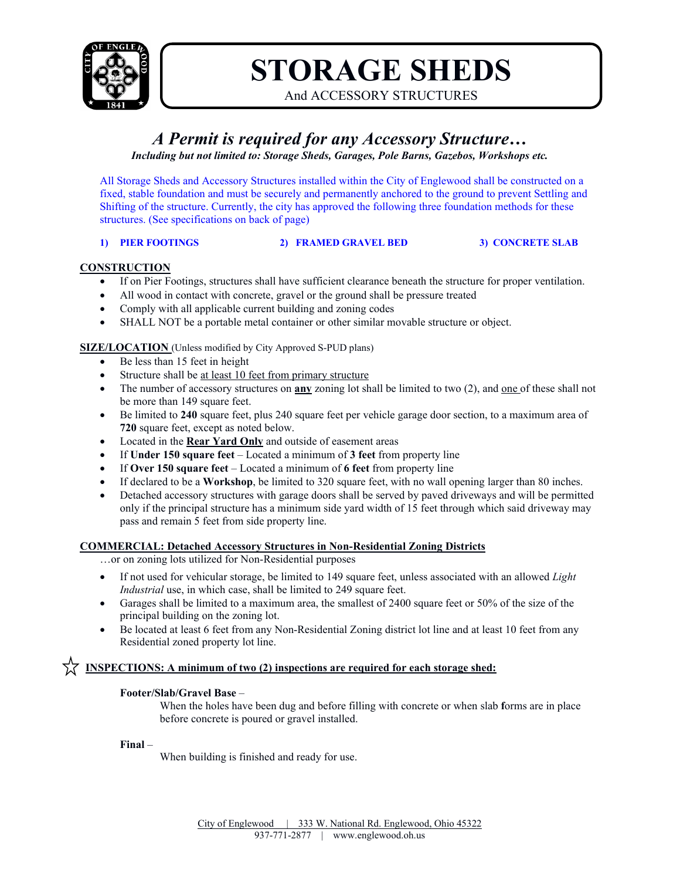

# **STORAGE SHEDS**

And ACCESSORY STRUCTURES

## *A Permit is required for any Accessory Structure…*

*Including but not limited to: Storage Sheds, Garages, Pole Barns, Gazebos, Workshops etc.*

All Storage Sheds and Accessory Structures installed within the City of Englewood shall be constructed on a fixed, stable foundation and must be securely and permanently anchored to the ground to prevent Settling and Shifting of the structure. Currently, the city has approved the following three foundation methods for these structures. (See specifications on back of page)

#### **1) PIER FOOTINGS 2) FRAMED GRAVEL BED 3) CONCRETE SLAB**

#### **CONSTRUCTION**

- If on Pier Footings, structures shall have sufficient clearance beneath the structure for proper ventilation.
- All wood in contact with concrete, gravel or the ground shall be pressure treated
- Comply with all applicable current building and zoning codes
- SHALL NOT be a portable metal container or other similar movable structure or object.

#### **SIZE/LOCATION** (Unless modified by City Approved S-PUD plans)

- Be less than 15 feet in height
- Structure shall be at least 10 feet from primary structure
- The number of accessory structures on **any** zoning lot shall be limited to two (2), and one of these shall not be more than 149 square feet.
- Be limited to **240** square feet, plus 240 square feet per vehicle garage door section, to a maximum area of **720** square feet, except as noted below.
- Located in the **Rear Yard Only** and outside of easement areas
- If **Under 150 square feet** Located a minimum of **3 feet** from property line
- If **Over 150 square feet**  Located a minimum of **6 feet** from property line
- If declared to be a **Workshop**, be limited to 320 square feet, with no wall opening larger than 80 inches.
- Detached accessory structures with garage doors shall be served by paved driveways and will be permitted only if the principal structure has a minimum side yard width of 15 feet through which said driveway may pass and remain 5 feet from side property line.

#### **COMMERCIAL: Detached Accessory Structures in Non-Residential Zoning Districts**

- …or on zoning lots utilized for Non-Residential purposes
- If not used for vehicular storage, be limited to 149 square feet, unless associated with an allowed *Light Industrial* use, in which case, shall be limited to 249 square feet.
- Garages shall be limited to a maximum area, the smallest of 2400 square feet or 50% of the size of the principal building on the zoning lot.
- Be located at least 6 feet from any Non-Residential Zoning district lot line and at least 10 feet from any Residential zoned property lot line.

#### **INSPECTIONS:** A minimum of two (2) inspections are required for each storage shed:

#### **Footer/Slab/Gravel Base** –

When the holes have been dug and before filling with concrete or when slab **f**orms are in place before concrete is poured or gravel installed.

#### **Final** –

When building is finished and ready for use.